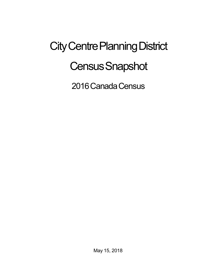## City Centre Planning District **Census Snapshot**

2016 Canada Census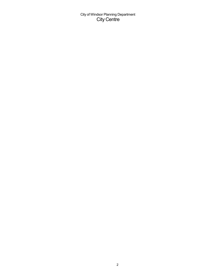City of Windsor Planning Department City Centre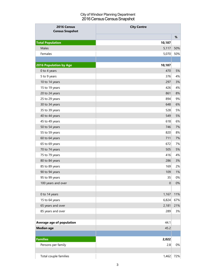## City of Windsor Planning Department 2016 Census Census Snapshot

| 2016 Census<br><b>Census Snapshot</b> | <b>City Centre</b> |       |
|---------------------------------------|--------------------|-------|
|                                       |                    | $\%$  |
| <b>Total Population</b>               | 10,187             |       |
| Males                                 | 5,117              | 50%   |
| Females                               | 5,070              | 50%   |
|                                       |                    |       |
| <b>2016 Population by Age</b>         | 10,187             |       |
| 0 to 4 years                          | 470                | 5%    |
| 5 to 9 years                          | 376                | 4%    |
| 10 to 14 years                        | 297                | 3%    |
| 15 to 19 years                        | 426                | 4%    |
| 20 to 24 years                        | 861                | $8%$  |
| 25 to 29 years                        | 894                | 9%    |
| 30 to 34 years                        | 648                | 6%    |
| 35 to 39 years                        | 528                | 5%    |
| 40 to 44 years                        | 549                | 5%    |
| 45 to 49 years                        | 618                | 6%    |
| 50 to 54 years                        | 746                | 7%    |
| 55 to 59 years                        | 820                | 8%    |
| 60 to 64 years                        | 711                | 7%    |
| 65 to 69 years                        | 672                | 7%    |
| 70 to 74 years                        | 505                | 5%    |
| 75 to 79 years                        | 416                | 4%    |
| 80 to 84 years                        | 286                | 3%    |
| 85 to 89 years                        | 169                | 2%    |
| 90 to 94 years                        | 109                | 1%    |
| 95 to 99 years                        | 35                 | $0\%$ |
| 100 years and over                    | $\boldsymbol{0}$   | $0\%$ |
|                                       |                    |       |
| 0 to 14 years                         | 1,167              | 11%   |
| 15 to 64 years                        | 6,824              | 67%   |
| 65 years and over                     | 2,181              | 21%   |
| 85 years and over                     | 289                | 3%    |
|                                       |                    |       |
| Average age of population             | 44.1               |       |
| <b>Median age</b>                     | 45.2               |       |
|                                       |                    |       |
| <b>Families</b>                       | 2,022              |       |
| Persons per family                    | 2.8                | 0%    |
|                                       |                    |       |
| Total couple families                 | 1,462              | 72%   |